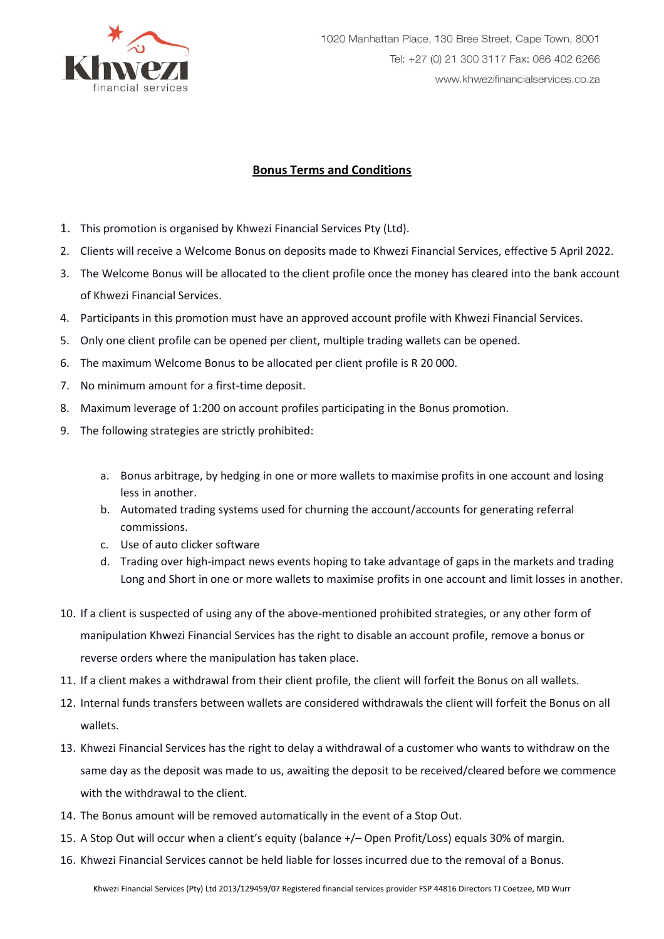

## **Bonus Terms and Conditions**

- 1. This promotion is organised by Khwezi Financial Services Pty (Ltd).
- 2. Clients will receive a Welcome Bonus on deposits made to Khwezi Financial Services, effective 5 April 2022.
- 3. The Welcome Bonus will be allocated to the client profile once the money has cleared into the bank account of Khwezi Financial Services.
- 4. Participants in this promotion must have an approved account profile with Khwezi Financial Services.
- 5. Only one client profile can be opened per client, multiple trading wallets can be opened.
- 6. The maximum Welcome Bonus to be allocated per client profile is R 20 000.
- 7. No minimum amount for a first-time deposit.
- 8. Maximum leverage of 1:200 on account profiles participating in the Bonus promotion.
- 9. The following strategies are strictly prohibited:
	- a. Bonus arbitrage, by hedging in one or more wallets to maximise profits in one account and losing less in another.
	- b. Automated trading systems used for churning the account/accounts for generating referral commissions.
	- c. Use of auto clicker software
	- d. Trading over high-impact news events hoping to take advantage of gaps in the markets and trading Long and Short in one or more wallets to maximise profits in one account and limit losses in another.
- 10. If a client is suspected of using any of the above-mentioned prohibited strategies, or any other form of manipulation Khwezi Financial Services has the right to disable an account profile, remove a bonus or reverse orders where the manipulation has taken place.
- 11. If a client makes a withdrawal from their client profile, the client will forfeit the Bonus on all wallets.
- 12. Internal funds transfers between wallets are considered withdrawals the client will forfeit the Bonus on all wallets.
- 13. Khwezi Financial Services has the right to delay a withdrawal of a customer who wants to withdraw on the same day as the deposit was made to us, awaiting the deposit to be received/cleared before we commence with the withdrawal to the client.
- 14. The Bonus amount will be removed automatically in the event of a Stop Out.
- 15. A Stop Out will occur when a client's equity (balance +/– Open Profit/Loss) equals 30% of margin.
- 16. Khwezi Financial Services cannot be held liable for losses incurred due to the removal of a Bonus.